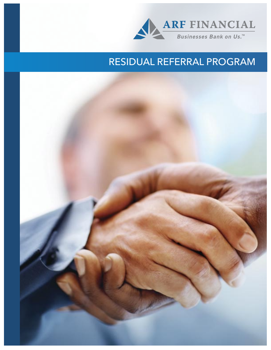

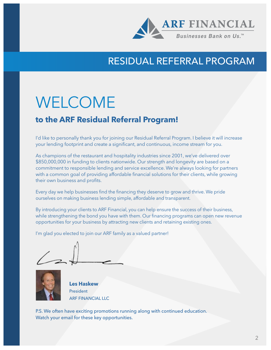

# WELCOME

#### **to the ARF Residual Referral Program!**

I'd like to personally thank you for joining our Residual Referral Program. I believe it will increase your lending footprint and create a significant, and continuous, income stream for you.

As champions of the restaurant and hospitality industries since 2001, we've delivered over \$850,000,000 in funding to clients nationwide. Our strength and longevity are based on a commitment to responsible lending and service excellence. We're always looking for partners with a common goal of providing affordable financial solutions for their clients, while growing their own business and profits.

Every day we help businesses find the financing they deserve to grow and thrive. We pride ourselves on making business lending simple, affordable and transparent.

By introducing your clients to ARF Financial, you can help ensure the success of their business, while strengthening the bond you have with them. Our financing programs can open new revenue opportunities for your business by attracting new clients and retaining existing ones.

I'm glad you elected to join our ARF family as a valued partner!



**Les Haskew** President ARF FINANCIAL LLC

P.S. We often have exciting promotions running along with continued education. Watch your email for these key opportunities.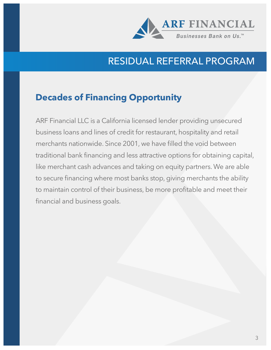

### **Decades of Financing Opportunity**

ARF Financial LLC is a California licensed lender providing unsecured business loans and lines of credit for restaurant, hospitality and retail merchants nationwide. Since 2001, we have filled the void between traditional bank financing and less attractive options for obtaining capital, like merchant cash advances and taking on equity partners. We are able to secure financing where most banks stop, giving merchants the ability to maintain control of their business, be more profitable and meet their financial and business goals.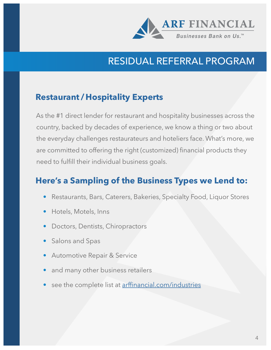

### **Restaurant / Hospitality Experts**

As the #1 direct lender for restaurant and hospitality businesses across the country, backed by decades of experience, we know a thing or two about the everyday challenges restaurateurs and hoteliers face. What's more, we are committed to offering the right (customized) financial products they need to fulfill their individual business goals.

### **Here's a Sampling of the Business Types we Lend to:**

- Restaurants, Bars, Caterers, Bakeries, Specialty Food, Liquor Stores
- Hotels, Motels, Inns
- Doctors, Dentists, Chiropractors
- Salons and Spas
- Automotive Repair & Service
- and many other business retailers
- see the complete list at arffinancial.com/industries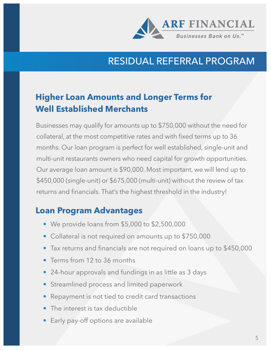

## **Higher Loan Amounts and Longer Terms for Well Established Merchants**

Businesses may qualify for amounts up to \$750,000 without the need for collateral, at the most competitive rates and with fixed terms up to 36 months. Our loan program is perfect for well established, single-unit and multi-unit restaurants owners who need capital for growth opportunities. Our average loan amount is \$90,000. Most important, we will lend up to \$450,000 (single-unit) or \$675,000 (multi-unit) without the review of tax returns and financials. That's the highest threshold in the industry!

### **Loan Program Advantages**

- We provide loans from \$5,000 to \$2,500,000
- Collateral is not required on amounts up to \$750,000
- Tax returns and financials are not required on loans up to \$450,000
- Terms from 12 to 36 months
- 24-hour approvals and fundings in as little as 3 days
- Streamlined process and limited paperwork
- Repayment is not tied to credit card transactions
- The interest is tax deductible
- Early pay-off options are available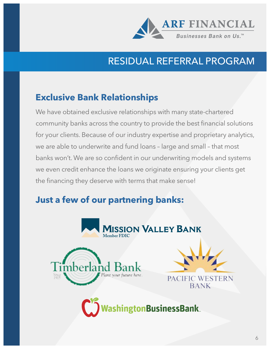

## **Exclusive Bank Relationships**

We have obtained exclusive relationships with many state-chartered community banks across the country to provide the best financial solutions for your clients. Because of our industry expertise and proprietary analytics, we are able to underwrite and fund loans – large and small – that most banks won't. We are so confident in our underwriting models and systems we even credit enhance the loans we originate ensuring your clients get the financing they deserve with terms that make sense!

## **Just a few of our partnering banks:**

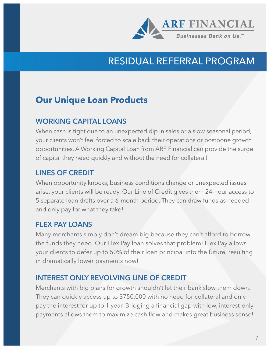

### **Our Unique Loan Products**

#### **WORKING CAPITAL LOANS**

When cash is tight due to an unexpected dip in sales or a slow seasonal period, your clients won't feel forced to scale back their operations or postpone growth opportunities. A Working Capital Loan from ARF Financial can provide the surge of capital they need quickly and without the need for collateral!

#### **LINES OF CREDIT**

When opportunity knocks, business conditions change or unexpected issues arise, your clients will be ready. Our Line of Credit gives them 24-hour access to 5 separate loan drafts over a 6-month period. They can draw funds as needed and only pay for what they take!

#### **FLEX PAY LOANS**

Many merchants simply don't dream big because they can't afford to borrow the funds they need. Our Flex Pay loan solves that problem! Flex Pay allows your clients to defer up to 50% of their loan principal into the future, resulting in dramatically lower payments now!

#### **INTEREST ONLY REVOLVING LINE OF CREDIT**

Merchants with big plans for growth shouldn't let their bank slow them down. They can quickly access up to \$750,000 with no need for collateral and only pay the interest for up to 1 year. Bridging a financial gap with low, interest-only payments allows them to maximize cash flow and makes great business sense!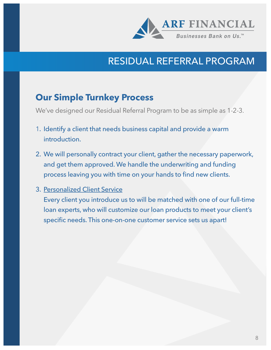

### **Our Simple Turnkey Process**

We've designed our Residual Referral Program to be as simple as 1-2-3.

- 1. Identify a client that needs business capital and provide a warm introduction.
- 2. We will personally contract your client, gather the necessary paperwork, and get them approved. We handle the underwriting and funding process leaving you with time on your hands to find new clients.

#### 3. Personalized Client Service

Every client you introduce us to will be matched with one of our full-time loan experts, who will customize our loan products to meet your client's specific needs. This one-on-one customer service sets us apart!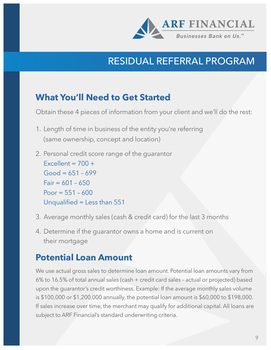

### **What You'll Need to Get Started**

Obtain these 4 pieces of information from your client and we'll do the rest:

- 1. Length of time in business of the entity you're referring (same ownership, concept and location)
- 2. Personal credit score range of the guarantor Excellent =  $700 +$  $Good = 651 - 699$  $Fair = 601 - 650$  $Poor = 551 - 600$ Unqualified = Less than 551
- 3. Average monthly sales (cash & credit card) for the last 3 months
- 4. Determine if the guarantor owns a home and is current on their mortgage

### **Potential Loan Amount**

We use actual gross sales to determine loan amount. Potential loan amounts vary from 6% to 16.5% of total annual sales (cash + credit card sales – actual or projected) based upon the guarantor's credit worthiness. Example: If the average monthly sales volume is \$100,000 or \$1,200,000 annually, the potential loan amount is \$60,000 to \$198,000. If sales increase over time, the merchant may qualify for additional capital. All loans are subject to ARF Financial's standard underwriting criteria.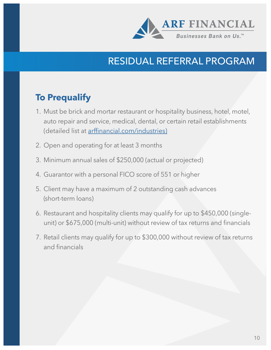

### **To Prequalify**

- 1. Must be brick and mortar restaurant or hospitality business, hotel, motel, auto repair and service, medical, dental, or certain retail establishments (detailed list at arffinancial.com/industries)
- 2. Open and operating for at least 3 months
- 3. Minimum annual sales of \$250,000 (actual or projected)
- 4. Guarantor with a personal FICO score of 551 or higher
- 5. Client may have a maximum of 2 outstanding cash advances (short-term loans)
- 6. Restaurant and hospitality clients may qualify for up to \$450,000 (singleunit) or \$675,000 (multi-unit) without review of tax returns and financials
- 7. Retail clients may qualify for up to \$300,000 without review of tax returns and financials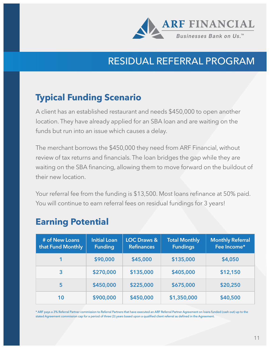

## **Typical Funding Scenario**

A client has an established restaurant and needs \$450,000 to open another location. They have already applied for an SBA loan and are waiting on the funds but run into an issue which causes a delay.

The merchant borrows the \$450,000 they need from ARF Financial, without review of tax returns and financials. The loan bridges the gap while they are waiting on the SBA financing, allowing them to move forward on the buildout of their new location.

Your referral fee from the funding is \$13,500. Most loans refinance at 50% paid. You will continue to earn referral fees on residual fundings for 3 years!

### **Earning Potential**

| # of New Loans<br>that Fund Monthly | <b>Initial Loan</b><br><b>Funding</b> | <b>LOC Draws &amp;</b><br><b>Refinances</b> | <b>Total Monthly</b><br><b>Fundings</b> | <b>Monthly Referral</b><br>Fee Income* |
|-------------------------------------|---------------------------------------|---------------------------------------------|-----------------------------------------|----------------------------------------|
|                                     | \$90,000                              | \$45,000                                    | \$135,000                               | \$4,050                                |
| 3                                   | \$270,000                             | \$135,000                                   | \$405,000                               | \$12,150                               |
| 5                                   | \$450,000                             | \$225,000                                   | \$675,000                               | \$20,250                               |
| 10                                  | \$900,000                             | \$450,000                                   | \$1,350,000                             | \$40,500                               |

\* ARF pays a 3% Referral Partner commission to Referral Partners that have executed an ARF Referral Partner Agreement on loans funded (cash out) up to the stated Agreement commission cap for a period of three (3) years based upon a qualified client referral as defined in the Agreement.